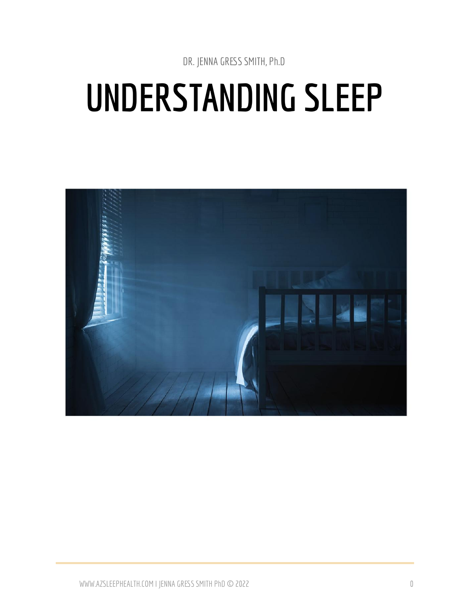DR. JENNA GRESS SMITH, Ph.D

# **UNDERSTANDING SLEEP**

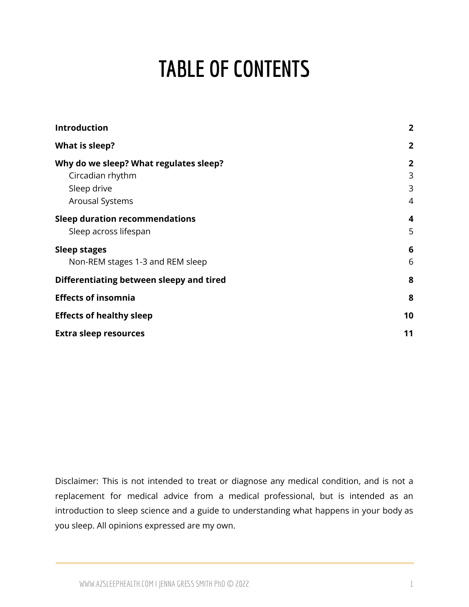## **TABLE OF CONTENTS**

| <b>Introduction</b>                      | $\overline{2}$ |
|------------------------------------------|----------------|
| What is sleep?                           | $\overline{2}$ |
| Why do we sleep? What regulates sleep?   | $\overline{2}$ |
| Circadian rhythm                         | 3              |
| Sleep drive                              | 3              |
| <b>Arousal Systems</b>                   | 4              |
| <b>Sleep duration recommendations</b>    | 4              |
| Sleep across lifespan                    | 5              |
| <b>Sleep stages</b>                      | 6              |
| Non-REM stages 1-3 and REM sleep         | 6              |
| Differentiating between sleepy and tired | 8              |
| <b>Effects of insomnia</b>               | 8              |
| <b>Effects of healthy sleep</b>          | 10             |
| <b>Extra sleep resources</b>             | 11             |

Disclaimer: This is not intended to treat or diagnose any medical condition, and is not a replacement for medical advice from a medical professional, but is intended as an introduction to sleep science and a guide to understanding what happens in your body as you sleep. All opinions expressed are my own.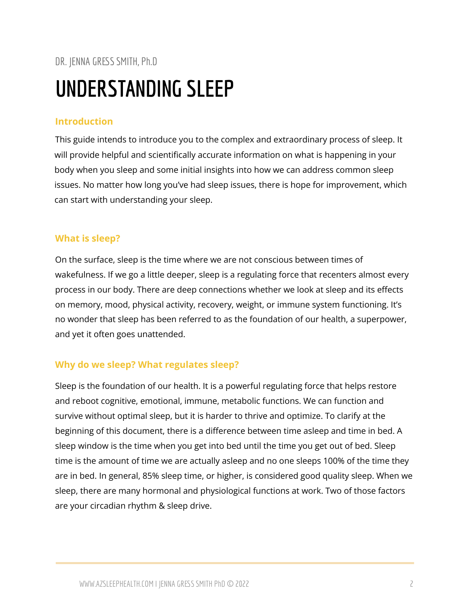## DR. JENNA GRESSSMITH, Ph.D **UNDERSTANDING SLEEP**

#### <span id="page-2-0"></span>**Introduction**

This guide intends to introduce you to the complex and extraordinary process of sleep. It will provide helpful and scientifically accurate information on what is happening in your body when you sleep and some initial insights into how we can address common sleep issues. No matter how long you've had sleep issues, there is hope for improvement, which can start with understanding your sleep.

#### <span id="page-2-1"></span>**What is sleep?**

On the surface, sleep is the time where we are not conscious between times of wakefulness. If we go a little deeper, sleep is a regulating force that recenters almost every process in our body. There are deep connections whether we look at sleep and its effects on memory, mood, physical activity, recovery, weight, or immune system functioning. It's no wonder that sleep has been referred to as the foundation of our health, a superpower, and yet it often goes unattended.

#### <span id="page-2-2"></span>**Why do we sleep? What regulates sleep?**

Sleep is the foundation of our health. It is a powerful regulating force that helps restore and reboot cognitive, emotional, immune, metabolic functions. We can function and survive without optimal sleep, but it is harder to thrive and optimize. To clarify at the beginning of this document, there is a difference between time asleep and time in bed. A sleep window is the time when you get into bed until the time you get out of bed. Sleep time is the amount of time we are actually asleep and no one sleeps 100% of the time they are in bed. In general, 85% sleep time, or higher, is considered good quality sleep. When we sleep, there are many hormonal and physiological functions at work. Two of those factors are your circadian rhythm & sleep drive.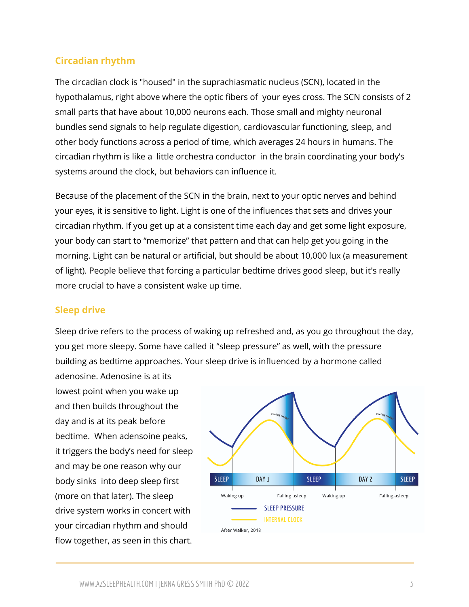#### <span id="page-3-0"></span>**Circadian rhythm**

The circadian clock is "housed" in the suprachiasmatic nucleus (SCN), located in the hypothalamus, right above where the optic fibers of your eyes cross. The SCN consists of 2 small parts that have about 10,000 neurons each. Those small and mighty neuronal bundles send signals to help regulate digestion, cardiovascular functioning, sleep, and other body functions across a period of time, which averages 24 hours in humans. The circadian rhythm is like a little orchestra conductor in the brain coordinating your body's systems around the clock, but behaviors can influence it.

Because of the placement of the SCN in the brain, next to your optic nerves and behind your eyes, it is sensitive to light. Light is one of the influences that sets and drives your circadian rhythm. If you get up at a consistent time each day and get some light exposure, your body can start to "memorize" that pattern and that can help get you going in the morning. Light can be natural or artificial, but should be about 10,000 lux (a measurement of light). People believe that forcing a particular bedtime drives good sleep, but it's really more crucial to have a consistent wake up time.

#### <span id="page-3-1"></span>**Sleep drive**

Sleep drive refers to the process of waking up refreshed and, as you go throughout the day, you get more sleepy. Some have called it "sleep pressure" as well, with the pressure building as bedtime approaches. Your sleep drive is influenced by a hormone called

adenosine. Adenosine is at its lowest point when you wake up and then builds throughout the day and is at its peak before bedtime. When adensoine peaks, it triggers the body's need for sleep and may be one reason why our body sinks into deep sleep first (more on that later). The sleep drive system works in concert with your circadian rhythm and should flow together, as seen in this chart.

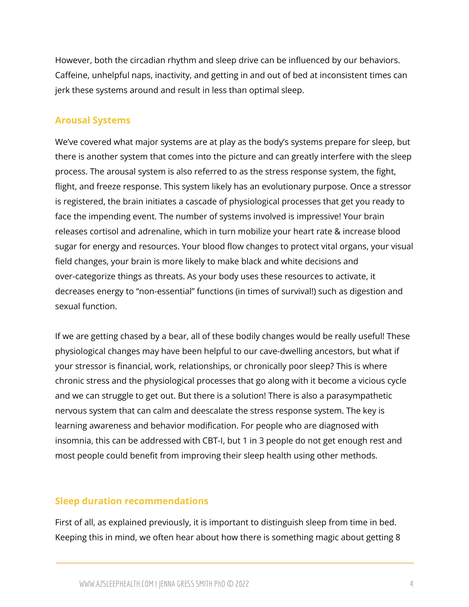However, both the circadian rhythm and sleep drive can be influenced by our behaviors. Caffeine, unhelpful naps, inactivity, and getting in and out of bed at inconsistent times can jerk these systems around and result in less than optimal sleep.

#### <span id="page-4-0"></span>**Arousal Systems**

We've covered what major systems are at play as the body's systems prepare for sleep, but there is another system that comes into the picture and can greatly interfere with the sleep process. The arousal system is also referred to as the stress response system, the fight, flight, and freeze response. This system likely has an evolutionary purpose. Once a stressor is registered, the brain initiates a cascade of physiological processes that get you ready to face the impending event. The number of systems involved is impressive! Your brain releases cortisol and adrenaline, which in turn mobilize your heart rate & increase blood sugar for energy and resources. Your blood flow changes to protect vital organs, your visual field changes, your brain is more likely to make black and white decisions and over-categorize things as threats. As your body uses these resources to activate, it decreases energy to "non-essential" functions (in times of survival!) such as digestion and sexual function.

If we are getting chased by a bear, all of these bodily changes would be really useful! These physiological changes may have been helpful to our cave-dwelling ancestors, but what if your stressor is financial, work, relationships, or chronically poor sleep? This is where chronic stress and the physiological processes that go along with it become a vicious cycle and we can struggle to get out. But there is a solution! There is also a parasympathetic nervous system that can calm and deescalate the stress response system. The key is learning awareness and behavior modification. For people who are diagnosed with insomnia, this can be addressed with CBT-I, but 1 in 3 people do not get enough rest and most people could benefit from improving their sleep health using other methods.

#### <span id="page-4-1"></span>**Sleep duration recommendations**

First of all, as explained previously, it is important to distinguish sleep from time in bed. Keeping this in mind, we often hear about how there is something magic about getting 8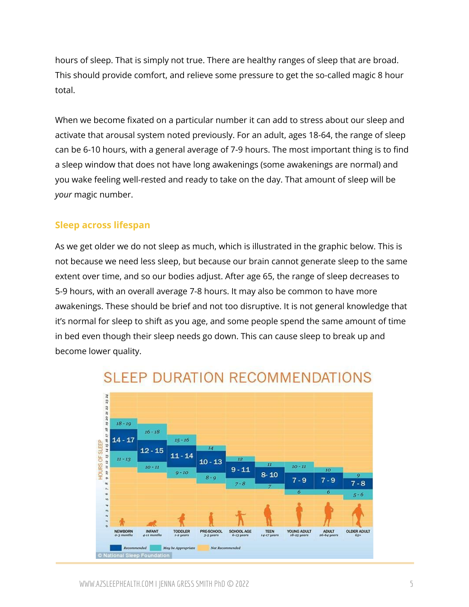hours of sleep. That is simply not true. There are healthy ranges of sleep that are broad. This should provide comfort, and relieve some pressure to get the so-called magic 8 hour total.

When we become fixated on a particular number it can add to stress about our sleep and activate that arousal system noted previously. For an adult, ages 18-64, the range of sleep can be 6-10 hours, with a general average of 7-9 hours. The most important thing is to find a sleep window that does not have long awakenings (some awakenings are normal) and you wake feeling well-rested and ready to take on the day. That amount of sleep will be *your* magic number.

#### <span id="page-5-0"></span>**Sleep across lifespan**

As we get older we do not sleep as much, which is illustrated in the graphic below. This is not because we need less sleep, but because our brain cannot generate sleep to the same extent over time, and so our bodies adjust. After age 65, the range of sleep decreases to 5-9 hours, with an overall average 7-8 hours. It may also be common to have more awakenings. These should be brief and not too disruptive. It is not general knowledge that it's normal for sleep to shift as you age, and some people spend the same amount of time in bed even though their sleep needs go down. This can cause sleep to break up and become lower quality.



### **SLEEP DURATION RECOMMENDATIONS**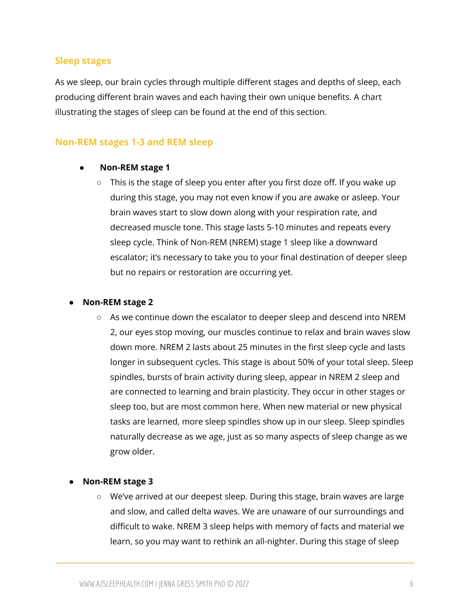#### <span id="page-6-0"></span>**Sleep stages**

As we sleep, our brain cycles through multiple different stages and depths of sleep, each producing different brain waves and each having their own unique benefits. A chart illustrating the stages of sleep can be found at the end of this section.

#### <span id="page-6-1"></span>**Non-REM stages 1-3 and REM sleep**

#### **● Non-REM stage 1**

**○** This is the stage of sleep you enter after you first doze off. If you wake up during this stage, you may not even know if you are awake or asleep. Your brain waves start to slow down along with your respiration rate, and decreased muscle tone. This stage lasts 5-10 minutes and repeats every sleep cycle. Think of Non-REM (NREM) stage 1 sleep like a downward escalator; it's necessary to take you to your final destination of deeper sleep but no repairs or restoration are occurring yet.

#### **● Non-REM stage 2**

**○** As we continue down the escalator to deeper sleep and descend into NREM 2, our eyes stop moving, our muscles continue to relax and brain waves slow down more. NREM 2 lasts about 25 minutes in the first sleep cycle and lasts longer in subsequent cycles. This stage is about 50% of your total sleep. Sleep spindles, bursts of brain activity during sleep, appear in NREM 2 sleep and are connected to learning and brain plasticity. They occur in other stages or sleep too, but are most common here. When new material or new physical tasks are learned, more sleep spindles show up in our sleep. Sleep spindles naturally decrease as we age, just as so many aspects of sleep change as we grow older.

#### **● Non-REM stage 3**

○ We've arrived at our deepest sleep. During this stage, brain waves are large and slow, and called delta waves. We are unaware of our surroundings and difficult to wake. NREM 3 sleep helps with memory of facts and material we learn, so you may want to rethink an all-nighter. During this stage of sleep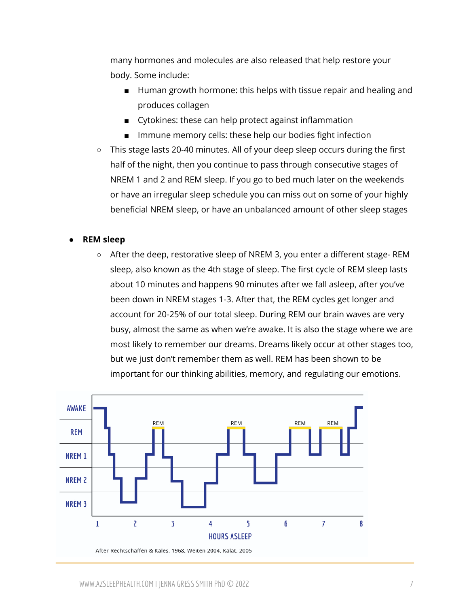many hormones and molecules are also released that help restore your body. Some include:

- Human growth hormone: this helps with tissue repair and healing and produces collagen
- Cytokines: these can help protect against inflammation
- Immune memory cells: these help our bodies fight infection
- This stage lasts 20-40 minutes. All of your deep sleep occurs during the first half of the night, then you continue to pass through consecutive stages of NREM 1 and 2 and REM sleep. If you go to bed much later on the weekends or have an irregular sleep schedule you can miss out on some of your highly beneficial NREM sleep, or have an unbalanced amount of other sleep stages

#### **● REM sleep**

**○** After the deep, restorative sleep of NREM 3, you enter a different stage- REM sleep, also known as the 4th stage of sleep. The first cycle of REM sleep lasts about 10 minutes and happens 90 minutes after we fall asleep, after you've been down in NREM stages 1-3. After that, the REM cycles get longer and account for 20-25% of our total sleep. During REM our brain waves are very busy, almost the same as when we're awake. It is also the stage where we are most likely to remember our dreams. Dreams likely occur at other stages too, but we just don't remember them as well. REM has been shown to be important for our thinking abilities, memory, and regulating our emotions.

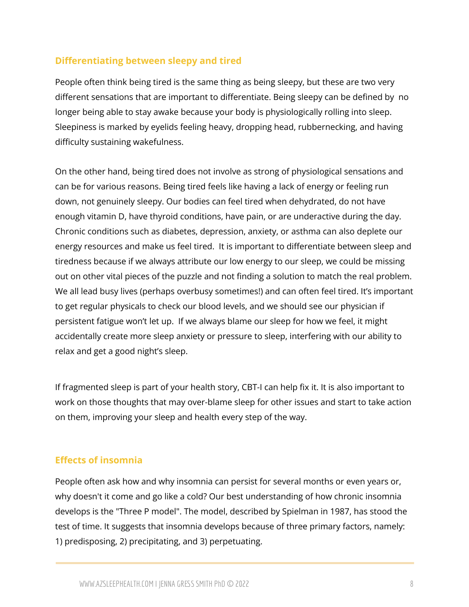#### <span id="page-8-0"></span>**Differentiating between sleepy and tired**

People often think being tired is the same thing as being sleepy, but these are two very different sensations that are important to differentiate. Being sleepy can be defined by no longer being able to stay awake because your body is physiologically rolling into sleep. Sleepiness is marked by eyelids feeling heavy, dropping head, rubbernecking, and having difficulty sustaining wakefulness.

On the other hand, being tired does not involve as strong of physiological sensations and can be for various reasons. Being tired feels like having a lack of energy or feeling run down, not genuinely sleepy. Our bodies can feel tired when dehydrated, do not have enough vitamin D, have thyroid conditions, have pain, or are underactive during the day. Chronic conditions such as diabetes, depression, anxiety, or asthma can also deplete our energy resources and make us feel tired. It is important to differentiate between sleep and tiredness because if we always attribute our low energy to our sleep, we could be missing out on other vital pieces of the puzzle and not finding a solution to match the real problem. We all lead busy lives (perhaps overbusy sometimes!) and can often feel tired. It's important to get regular physicals to check our blood levels, and we should see our physician if persistent fatigue won't let up. If we always blame our sleep for how we feel, it might accidentally create more sleep anxiety or pressure to sleep, interfering with our ability to relax and get a good night's sleep.

If fragmented sleep is part of your health story, CBT-I can help fix it. It is also important to work on those thoughts that may over-blame sleep for other issues and start to take action on them, improving your sleep and health every step of the way.

#### <span id="page-8-1"></span>**Effects of insomnia**

People often ask how and why insomnia can persist for several months or even years or, why doesn't it come and go like a cold? Our best understanding of how chronic insomnia develops is the "Three P model". The model, described by Spielman in 1987, has stood the test of time. It suggests that insomnia develops because of three primary factors, namely: 1) predisposing, 2) precipitating, and 3) perpetuating.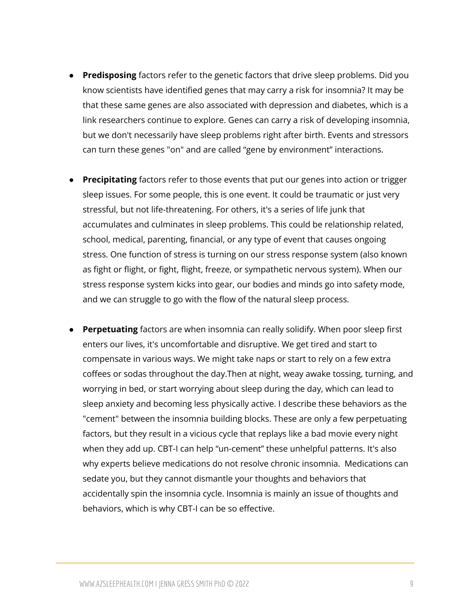- **Predisposing** factors refer to the genetic factors that drive sleep problems. Did you know scientists have identified genes that may carry a risk for insomnia? It may be that these same genes are also associated with depression and diabetes, which is a link researchers continue to explore. Genes can carry a risk of developing insomnia, but we don't necessarily have sleep problems right after birth. Events and stressors can turn these genes "on" and are called "gene by environment" interactions.
- **Precipitating** factors refer to those events that put our genes into action or trigger sleep issues. For some people, this is one event. It could be traumatic or just very stressful, but not life-threatening. For others, it's a series of life junk that accumulates and culminates in sleep problems. This could be relationship related, school, medical, parenting, financial, or any type of event that causes ongoing stress. One function of stress is turning on our stress response system (also known as fight or flight, or fight, flight, freeze, or sympathetic nervous system). When our stress response system kicks into gear, our bodies and minds go into safety mode, and we can struggle to go with the flow of the natural sleep process.
- **Perpetuating** factors are when insomnia can really solidify. When poor sleep first enters our lives, it's uncomfortable and disruptive. We get tired and start to compensate in various ways. We might take naps or start to rely on a few extra coffees or sodas throughout the day.Then at night, weay awake tossing, turning, and worrying in bed, or start worrying about sleep during the day, which can lead to sleep anxiety and becoming less physically active. I describe these behaviors as the "cement" between the insomnia building blocks. These are only a few perpetuating factors, but they result in a vicious cycle that replays like a bad movie every night when they add up. CBT-I can help "un-cement" these unhelpful patterns. It's also why experts believe medications do not resolve chronic insomnia. Medications can sedate you, but they cannot dismantle your thoughts and behaviors that accidentally spin the insomnia cycle. Insomnia is mainly an issue of thoughts and behaviors, which is why CBT-I can be so effective.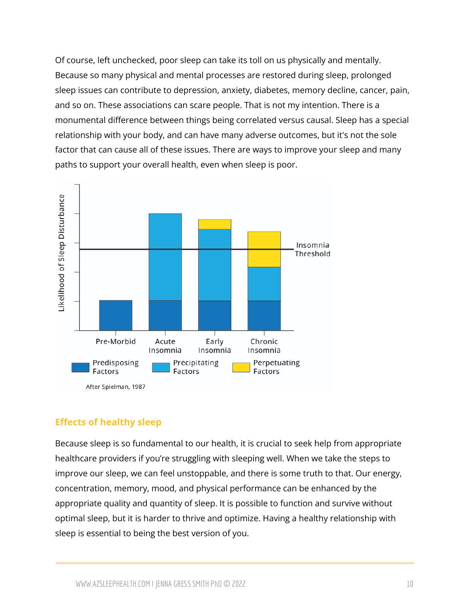Of course, left unchecked, poor sleep can take its toll on us physically and mentally. Because so many physical and mental processes are restored during sleep, prolonged sleep issues can contribute to depression, anxiety, diabetes, memory decline, cancer, pain, and so on. These associations can scare people. That is not my intention. There is a monumental difference between things being correlated versus causal. Sleep has a special relationship with your body, and can have many adverse outcomes, but it's not the sole factor that can cause all of these issues. There are ways to improve your sleep and many paths to support your overall health, even when sleep is poor.



#### <span id="page-10-0"></span>**Effects of healthy sleep**

Because sleep is so fundamental to our health, it is crucial to seek help from appropriate healthcare providers if you're struggling with sleeping well. When we take the steps to improve our sleep, we can feel unstoppable, and there is some truth to that. Our energy, concentration, memory, mood, and physical performance can be enhanced by the appropriate quality and quantity of sleep. It is possible to function and survive without optimal sleep, but it is harder to thrive and optimize. Having a healthy relationship with sleep is essential to being the best version of you.